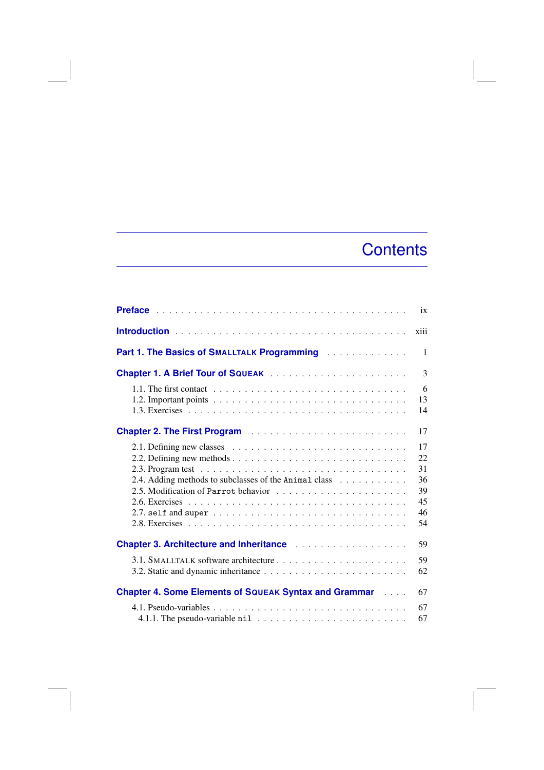## **Contents**

|                                                                                                                                                                                                                                      | ix                                           |
|--------------------------------------------------------------------------------------------------------------------------------------------------------------------------------------------------------------------------------------|----------------------------------------------|
| xiii                                                                                                                                                                                                                                 |                                              |
| Part 1. The Basics of SMALLTALK Programming                                                                                                                                                                                          | $\mathbf{1}$                                 |
|                                                                                                                                                                                                                                      | 3                                            |
| 1.1. The first contact $\ldots \ldots \ldots \ldots \ldots \ldots \ldots \ldots \ldots \ldots$                                                                                                                                       | 6<br>13<br>14                                |
| <b>Chapter 2. The First Program</b>                                                                                                                                                                                                  | 17                                           |
| 2.2. Defining new methods $\dots \dots \dots \dots \dots \dots \dots \dots \dots \dots \dots$<br>2.4. Adding methods to subclasses of the Animal class                                                                               | 17<br>22<br>31<br>36<br>39<br>45<br>46<br>54 |
| <b>Chapter 3. Architecture and Inheritance Manual According Chapter 3. Architecture and Inheritance Manual According Chapter 3. Architecture 3. Architecture 3. Architecture 3. Architecture 3. Architecture 3. Architecture 3. </b> | 59                                           |
|                                                                                                                                                                                                                                      | 59<br>62                                     |
| <b>Chapter 4. Some Elements of SQUEAK Syntax and Grammar</b>                                                                                                                                                                         | 67                                           |
|                                                                                                                                                                                                                                      | 67<br>67                                     |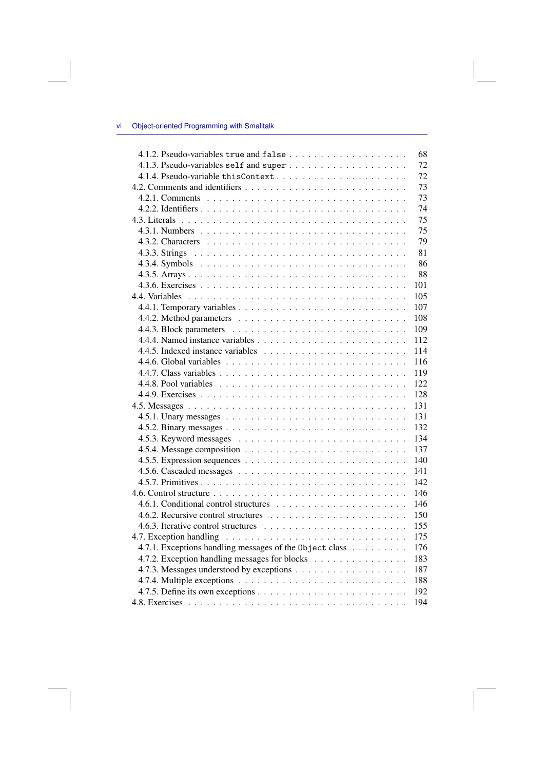|                                                         | 68  |
|---------------------------------------------------------|-----|
|                                                         | 72  |
| 4.1.4. Pseudo-variable this Context                     | 72  |
|                                                         | 73  |
|                                                         | 73  |
|                                                         | 74  |
|                                                         | 75  |
|                                                         | 75  |
|                                                         | 79  |
|                                                         | 81  |
|                                                         | 86  |
|                                                         | 88  |
|                                                         | 101 |
|                                                         | 105 |
|                                                         | 107 |
|                                                         | 108 |
|                                                         | 109 |
|                                                         | 112 |
|                                                         | 114 |
|                                                         | 116 |
|                                                         | 119 |
|                                                         | 122 |
|                                                         | 128 |
|                                                         | 131 |
|                                                         | 131 |
|                                                         | 132 |
|                                                         | 134 |
|                                                         | 137 |
|                                                         | 140 |
|                                                         | 141 |
|                                                         | 142 |
|                                                         | 146 |
|                                                         | 146 |
|                                                         | 150 |
|                                                         | 155 |
|                                                         | 175 |
| 4.7.1. Exceptions handling messages of the Object class | 176 |
| 4.7.2. Exception handling messages for blocks           | 183 |
|                                                         | 187 |
|                                                         |     |
|                                                         | 188 |
|                                                         | 192 |
|                                                         | 194 |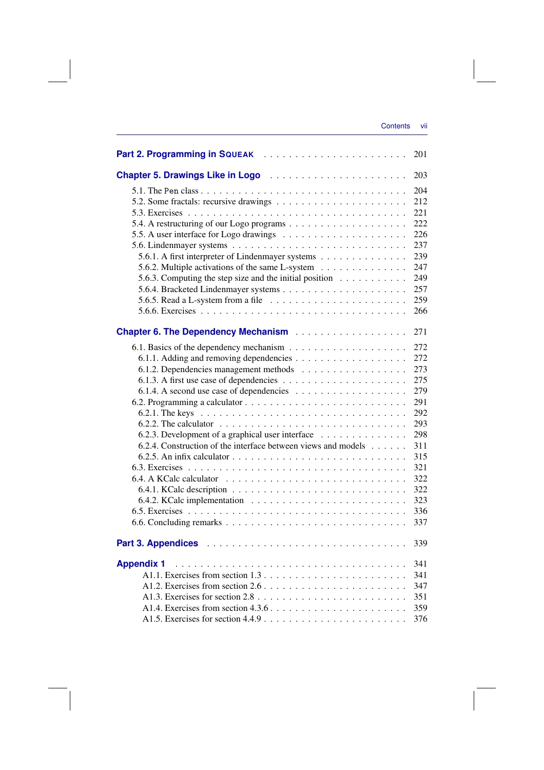|                                                                                               | 201 |
|-----------------------------------------------------------------------------------------------|-----|
|                                                                                               | 203 |
|                                                                                               | 204 |
|                                                                                               | 212 |
|                                                                                               | 221 |
|                                                                                               | 222 |
| 5.5. A user interface for Logo drawings $\dots \dots \dots \dots \dots \dots \dots$           | 226 |
|                                                                                               | 237 |
| 5.6.1. A first interpreter of Lindenmayer systems                                             | 239 |
| 5.6.2. Multiple activations of the same L-system                                              | 247 |
| 5.6.3. Computing the step size and the initial position $\ldots \ldots \ldots$                | 249 |
|                                                                                               | 257 |
| 5.6.5. Read a L-system from a file $\ldots \ldots \ldots \ldots \ldots \ldots$                |     |
|                                                                                               | 259 |
|                                                                                               | 266 |
|                                                                                               | 271 |
|                                                                                               | 272 |
|                                                                                               | 272 |
| 6.1.2. Dependencies management methods                                                        | 273 |
|                                                                                               | 275 |
|                                                                                               | 279 |
|                                                                                               | 291 |
|                                                                                               | 292 |
| 6.2.2. The calculator $\ldots \ldots \ldots \ldots \ldots \ldots \ldots \ldots \ldots \ldots$ | 293 |
| 6.2.3. Development of a graphical user interface                                              | 298 |
| 6.2.4. Construction of the interface between views and models                                 | 311 |
|                                                                                               | 315 |
|                                                                                               | 321 |
|                                                                                               | 322 |
|                                                                                               | 322 |
|                                                                                               | 323 |
|                                                                                               | 336 |
|                                                                                               | 337 |
|                                                                                               |     |
|                                                                                               | 339 |
| <b>Appendix 1</b>                                                                             | 341 |
| A1.1. Exercises from section $1.3 \ldots \ldots \ldots \ldots \ldots \ldots \ldots$           | 341 |
| A1.2. Exercises from section $2.6 \ldots \ldots \ldots \ldots \ldots \ldots \ldots$           | 347 |
|                                                                                               | 351 |
|                                                                                               | 359 |
|                                                                                               | 376 |